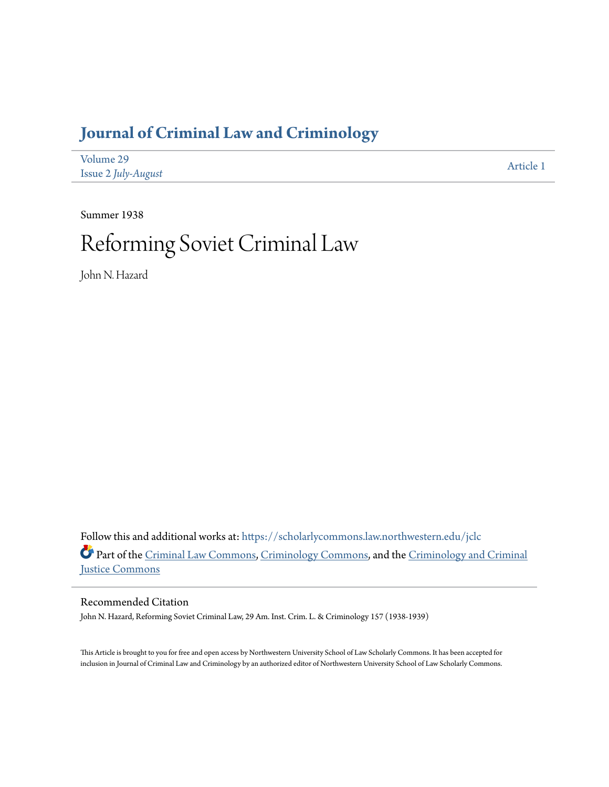## **[Journal of Criminal Law and Criminology](https://scholarlycommons.law.northwestern.edu/jclc?utm_source=scholarlycommons.law.northwestern.edu%2Fjclc%2Fvol29%2Fiss2%2F1&utm_medium=PDF&utm_campaign=PDFCoverPages)**

| Volume 29           | Article 1 |
|---------------------|-----------|
| Issue 2 July-August |           |

Summer 1938

# Reforming Soviet Criminal Law

John N. Hazard

Follow this and additional works at: [https://scholarlycommons.law.northwestern.edu/jclc](https://scholarlycommons.law.northwestern.edu/jclc?utm_source=scholarlycommons.law.northwestern.edu%2Fjclc%2Fvol29%2Fiss2%2F1&utm_medium=PDF&utm_campaign=PDFCoverPages) Part of the [Criminal Law Commons](http://network.bepress.com/hgg/discipline/912?utm_source=scholarlycommons.law.northwestern.edu%2Fjclc%2Fvol29%2Fiss2%2F1&utm_medium=PDF&utm_campaign=PDFCoverPages), [Criminology Commons](http://network.bepress.com/hgg/discipline/417?utm_source=scholarlycommons.law.northwestern.edu%2Fjclc%2Fvol29%2Fiss2%2F1&utm_medium=PDF&utm_campaign=PDFCoverPages), and the [Criminology and Criminal](http://network.bepress.com/hgg/discipline/367?utm_source=scholarlycommons.law.northwestern.edu%2Fjclc%2Fvol29%2Fiss2%2F1&utm_medium=PDF&utm_campaign=PDFCoverPages) [Justice Commons](http://network.bepress.com/hgg/discipline/367?utm_source=scholarlycommons.law.northwestern.edu%2Fjclc%2Fvol29%2Fiss2%2F1&utm_medium=PDF&utm_campaign=PDFCoverPages)

### Recommended Citation

John N. Hazard, Reforming Soviet Criminal Law, 29 Am. Inst. Crim. L. & Criminology 157 (1938-1939)

This Article is brought to you for free and open access by Northwestern University School of Law Scholarly Commons. It has been accepted for inclusion in Journal of Criminal Law and Criminology by an authorized editor of Northwestern University School of Law Scholarly Commons.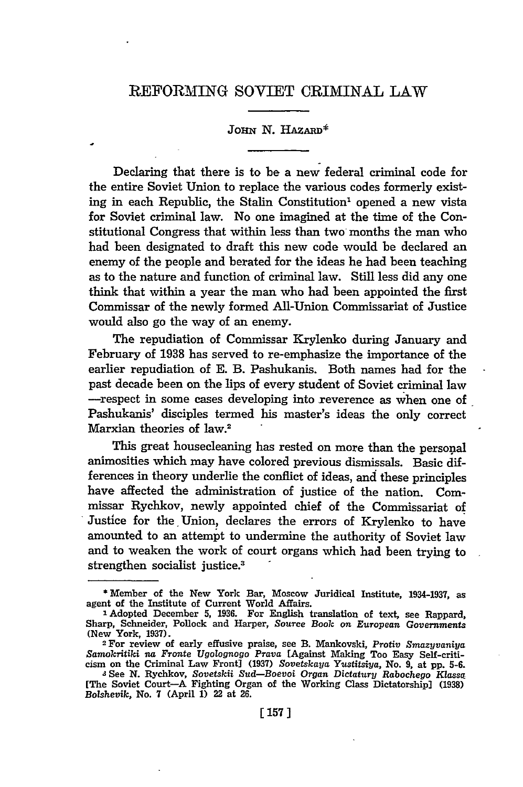### REFORMING SOVIET CRIMINAL LAW

#### *JouN* **N. HAZARD\***

Declaring that there is to be a new federal criminal code for the entire Soviet Union to replace the various codes formerly existing in each Republic, the Stalin Constitution' opened a new vista for Soviet criminal law. No one imagined at the time of the Constitutional Congress that within less than two months the man who had been designated to draft this new code would be declared an enemy of the people and berated for the ideas he had been teaching as to the nature and function of criminal law. Still less did any one think that within a year the man who had been appointed the first Commissar of the newly formed All-Union Commissariat of Justice would also go the way of an enemy.

The repudiation of Commissar Krylenko during January and February of **1938** has served to re-emphasize the importance of the earlier repudiation of **E.** B. Pashukanis. Both names had for the past decade been on the lips of every student of Soviet criminal law -respect in some cases developing into reverence as when one of Pashukanis' disciples termed his master's ideas the only correct Marxian theories of law.2

This great housecleaning has rested on more than the personal animosities which may have colored previous dismissals. Basic differences in theory underlie the conflict of ideas, and these principles have affected the administration of justice of the nation. **Com**missar Rychkov, newly appointed chief of the Commissariat of Justice for the Union, declares the errors of Krylenko to have amounted to an attempt to undermine the authority of Soviet law and to weaken the work of court organs which had been trying to strengthen socialist justice.<sup>3</sup>

<sup>\*</sup> Member of the New York Bar, Moscow Juridical Institute, **1934-1937,** as agent of the Institute of Current World Affairs.

<sup>&#</sup>x27;Adopted December **5, 1936.** For English translation of text, see Rappard, Sharp, Schneider, Pollock and Harper, Source Book on *European Governments* (New York, **1937).**

**<sup>2</sup>** For review of early effusive praise, see B. Mankovski, Protiv *Smazyvaniya Samokritiki na* Fronte Ugolognogo *Prava* [Against Making Too Easy Self-criticism on the Criminal Law Front] (1937) *Sovetskaya Yustitsiya,* No. **9,** at **pp. 5-6.**

**See N.** Rychkov, Sovetskii Sud-Boevoi *Organ Dictatury* Rabochego *Kassa* [The Soviet Court-A Fighting Organ of the Working Class Dictatorship] **(1938)** Bolshevik, No. **7** (April 1) 22 at **26.**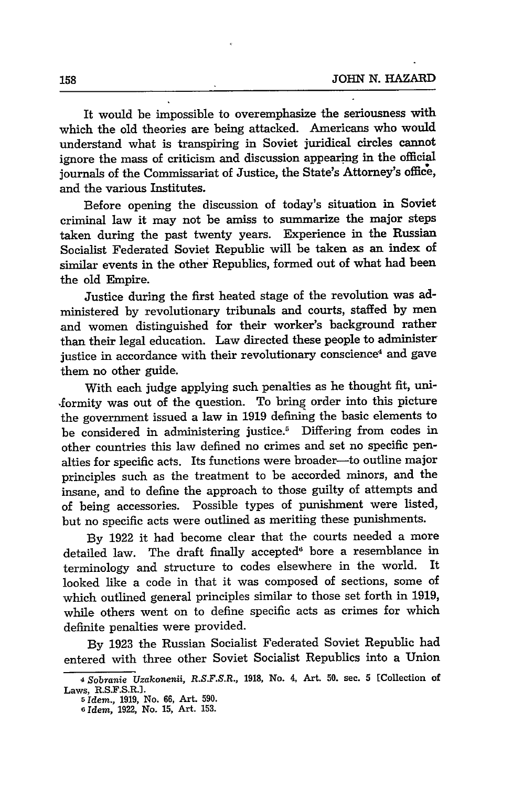It would be impossible to overemphasize the seriousness with which the old theories are being attacked. Americans who would understand what is transpiring in Soviet juridical circles cannot ignore the mass of criticism and discussion appearing in the official journals of the Commissariat of Justice, the State's Attorney's offic'e, and the various Institutes.

Before opening the discussion of today's situation in Soviet criminal law it may not be amiss to summarize the major steps taken during the past twenty years. Experience in the Russian Socialist Federated Soviet Republic will be taken as an index of similar events in the other Republics, formed out of what had been the old Empire.

Justice during the first heated stage of the revolution was administered by revolutionary tribunals and courts, staffed **by** men and women distinguished for their worker's background rather than their legal education. Law directed these people to administer justice in accordance with their revolutionary conscience<sup>4</sup> and gave them no other guide.

With each judge applying such penalties as he thought fit, uni- -formity was out of the question. To bring order into this picture the government issued a law in 1919 defining the basic elements to be considered in administering justice.<sup>5</sup> Differing from codes in other countries this law defined no crimes and set no specific penalties for specific acts. Its functions were broader--to outline major principles such as the treatment to be accorded minors, and the insane, and to define the approach to those guilty of attempts and of being accessories. Possible types of punishment were listed, but no specific acts were outlined as meriting these punishments.

By 1922 it had become clear that the courts needed a more detailed law. The draft finally accepted<sup>®</sup> bore a resemblance in<br>terminology and structure to codes elsewhere in the world. It terminology and structure to codes elsewhere in the world. looked like a code in that it was composed of sections, some of which outlined general principles similar to those set forth in 1919, while others went on to define specific acts as crimes for which definite penalties were provided.

By 1923 the Russian Socialist Federated Soviet Republic had entered with three other Soviet Socialist Republics into a Union

<sup>4</sup>*Sobranie Uzakonenii, R.S.F.S.R.,* 1918, No. 4, Art. **50.** sec. **5** [Collection of Laws, R.S.F.S.R.].

*<sup>5</sup> Idem.,* 1919, No. 66, Art. 590.

*<sup>6</sup> Idem,* 1922, No. **15,** Art. 153.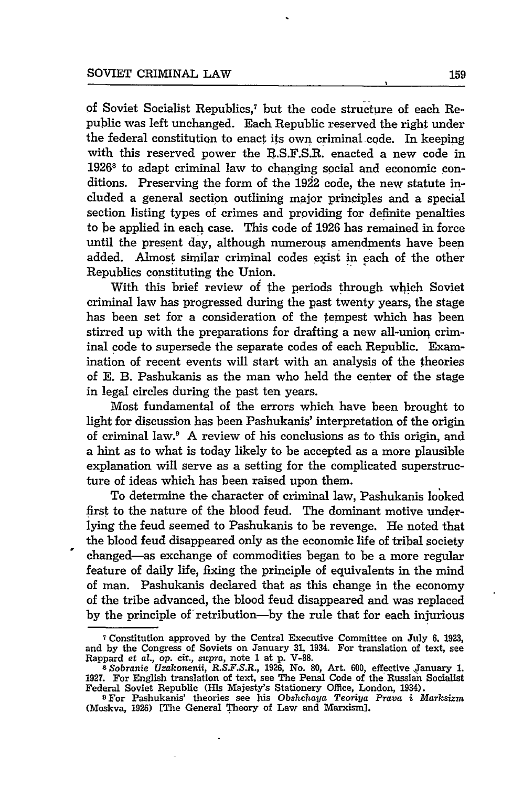of Soviet Socialist Republics,7 but the code structure of each Republic was left unchanged. Each Republic reserved the right under the federal constitution to enact its own criminal code. In keeping with this reserved power the R.S.F.S.R. enacted a new code in **19268** to adapt criminal law to changing social and economic conditions. Preserving the form of the 1922 code, the new statute **in**cluded a general section outlining major principles and a special section listing types of crimes and providing for definite penalties to be applied in each case. This code of **1926** has remained in force until the present day, although numerous amendments have been added. Almost similar criminal codes exist in each of the other Republics constituting the Union.

With this brief review of the periods through **which** Soviet criminal law has progressed during the past twenty years, the stage has been set for a consideration of the tempest which has been stirred up with the preparations for drafting a new all-union criminal code to supersede the separate codes of each Republic. Examination of recent events will start with an analysis of the theories of **E.** B. Pashukanis as the man who held the center of the stage in legal circles during the past ten years.

Most fundamental of the errors which have been brought to light for discussion has been Pashukanis' interpretation of the origin of criminal law.9 A review of his conclusions as to this origin, and a hint as to what is today likely to be accepted as a more plausible explanation will serve as a setting for the complicated superstructure of ideas which has been raised upon them.

To determine the character of criminal law, Pashukanis looked first to the nature of the blood feud. The dominant motive underlying the feud seemed to Pashukanis to be revenge. He noted that the blood feud disappeared only as the economic life of tribal society changed-as exchange of commodities began to be a more regular feature of daily life, fixing the principle of equivalents in the mind of man. Pashukanis declared that as this change in the economy of the tribe advanced, the blood feud disappeared and was replaced **by** the principle of retribution-by the rule that for each injurious

<sup>&</sup>lt;sup>7</sup> Constitution approved by the Central Executive Committee on July 6, 1923, and by the Congress of Soviets on January 31, 1934. For translation of text, see

<sup>8</sup>*Sobranie Uzaconrenii, R.S.F.S.R.,* **1926,** No. **80,** Art. **600,** effective January **1. 1927.** For English translation of text, see The Penal Code of the Russian Socialist Federal Soviet Republic (His Majesty's Stationery Office, London, 1934).

**<sup>9</sup> For** Pashukanis' theories see his *Obshchaya Teoriya Prava* i *Marksizm* (Moskva, **1926)** [The General Theory of Law and Marxism].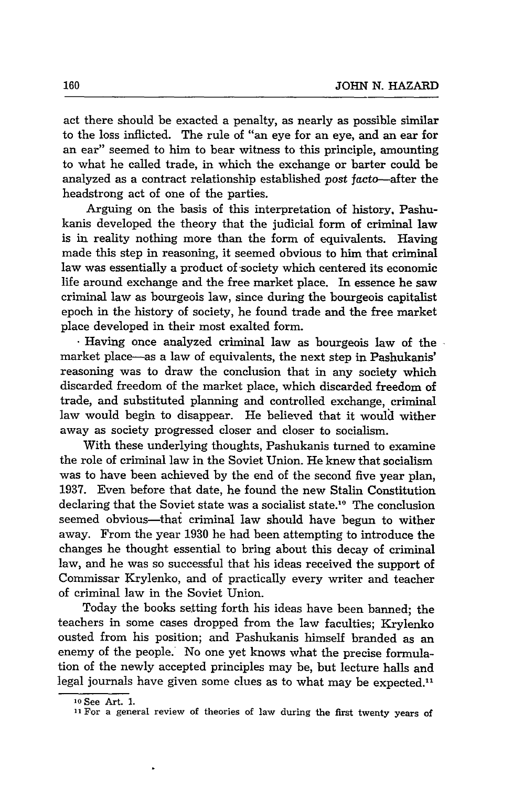act there should be exacted a penalty, as nearly as possible similar to the loss inflicted. The rule of "an eye for an eye, and an ear for an ear" seemed to him to bear witness to this principle, amounting to what he called trade, in which the exchange or barter could be analyzed as a contract relationship established post facto-after the headstrong act of one of the parties.

Arguing on the basis of this interpretation of history. Pashukanis developed the theory that the judicial form of criminal law is in reality nothing more than the form of equivalents. Having made this step in reasoning, it seemed obvious to him that criminal law was essentially a product of society which centered its economic life around exchange and the free market place. In essence he saw criminal law as bourgeois law, since during the bourgeois capitalist epoch in the history of society, he found trade and the free market place developed in their most exalted form.

• Having once analyzed criminal law as bourgeois law of the market place-as a law of equivalents, the next step in Pashukanis' reasoning was to draw the conclusion that in any society which discarded freedom of the market place, which discarded freedom of trade, and substituted planning and controlled exchange, criminal law would begin to disappear. He believed that it would wither away as society progressed closer and closer to socialism.

With these underlying thoughts, Pashukanis turned to examine the role of criminal law in the Soviet Union. He knew that socialism was to have been achieved by the end of the second five year plan, 1937. Even before that date, he found the new Stalin Constitution declaring that the Soviet state was a socialist state." The conclusion seemed obvious-that criminal law should have begun to wither away. From the year 1930 he had been attempting to introduce the changes he thought essential to bring about this decay of criminal law, and he was so successful that his ideas received the support of Commissar Krylenko, and of practically every writer and teacher of criminal law in the Soviet Union.

Today the books setting forth his ideas have been banned; the teachers in some cases dropped from the law faculties; Krylenko ousted from his position; and Pashukanis himself branded as an enemy of the people. No one yet knows what the precise formulation of the newly accepted principles may be, but lecture halls and legal journals have given some clues as to what may be expected.<sup>11</sup>

**<sup>10</sup>**See Art. 1.

**<sup>11</sup>** For a general review of theories of law during the first twenty years of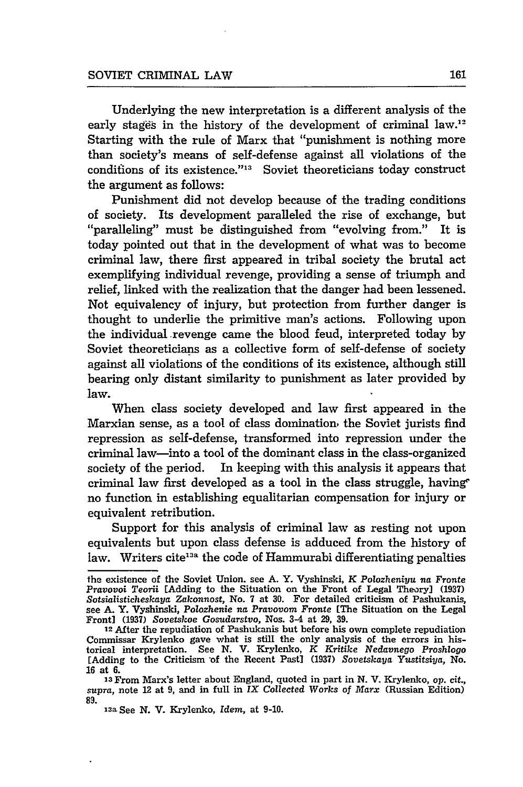Underlying the new interpretation is a different analysis of the early stages in the history of the development of criminal law.<sup>12</sup> Starting with the rule of Marx that "punishment is nothing more than society's means of self-defense against all violations of the conditions of its existence."13 Soviet theoreticians today construct the argument as follows:

Punishment did not develop because of the trading conditions of society. Its development paralleled the rise of exchange, but "paralleling" must be distinguished from "evolving from." It is today pointed out that in the development of what was to become criminal law, there first appeared in tribal society the brutal act exemplifying individual revenge, providing a sense of triumph and relief, linked with the realization that the danger had been lessened. Not equivalency of injury, but protection from further danger is thought to underlie the primitive man's actions. Following upon the individual revenge came the blood feud, interpreted today by Soviet theoreticians as a collective form of self-defense of society against all violations of the conditions of its existence, although still bearing only distant similarity to punishment as later provided by law.

When class society developed and law first appeared in the Marxian sense, as a tool of class domination, the Soviet jurists find repression as self-defense, transformed into repression under the criminal law-into a tool of the dominant class in the class-organized society of the period. In keeping with this analysis it appears that criminal law first developed as a tool in the class struggle, having" no function in establishing equalitarian compensation for injury or equivalent retribution.

Support for this analysis of criminal law as resting not upon equivalents but upon class defense is adduced from the history of law. Writers cite<sup>13a</sup> the code of Hammurabi differentiating penalties

**<sup>13</sup>**From Marx's letter about England, quoted in part in **N.** V. Krylenlco, *op.* cit., *supra,* note 12 at 9, and in full in *IX Collected Works* of *Marx* (Russian Edition) **89.**

**13a** See **N.** V. Krylenko, Idem, at **9-10.**

the existence of the Soviet Union. see **A.** Y. Vyshinski, K *Polozheniyu va Fronte Pravovoi Teorii* [Adding to the Situation on the Front of Legal Theory] (1937) *Sotsialistcheskaya Zakonnost,* No. **7** at **30.** For detailed criticism of Pashukanis, see **A.** Y. Vyshinski, Polozhenie na Pravovom *Fronte* [The Situation on the Legal

<sup>&</sup>lt;sup>12</sup> After the repudiation of Pashukanis but before his own complete repudiation Commissar Krylenko gave what is still the only analysis of the errors in historical interpretation. See **N.** V. Krylenko, *K* Kritike Nedavnego Proshlogo [Adding to the Criticism -of the Recent Past] (1937) *Sovetskaya Yustitsiya,* No. **16** at **6.**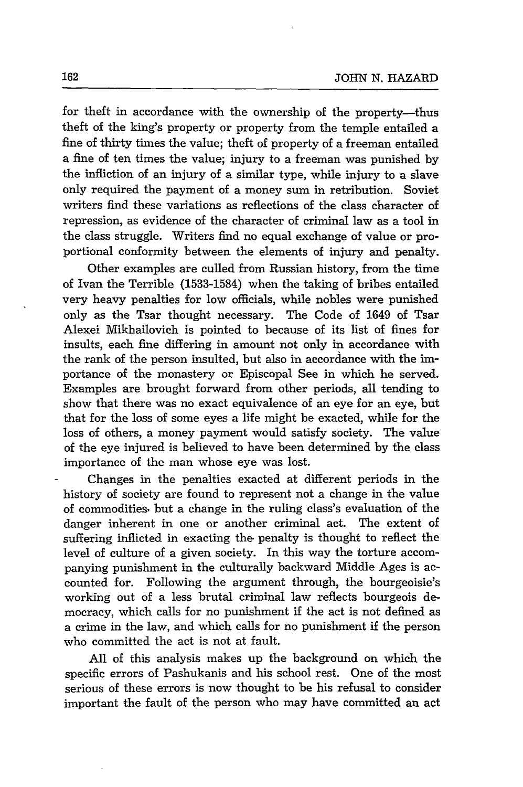for theft in accordance with the ownership of the property--thus theft of the king's property or property from the temple entailed a fine of thirty times the value; theft of property of a freeman entailed a fine of ten times the value; injury to a freeman was punished **by** the infliction of an injury of a similar type, while injury to a slave only required the payment of a money sum in retribution. Soviet writers find these variations as reflections of the class character of repression, as evidence of the character of criminal law as a tool in the class struggle. Writers find no equal exchange of value or proportional conformity between the elements of injury and penalty.

Other examples are culled from Russian history, from the time of Ivan the Terrible **(1533-1584)** when the taking of bribes entailed very heavy penalties for low officials, while nobles were punished only as the Tsar thought necessary. The Code of 1649 of Tsar Alexei Mikhailovich is pointed to because of its list of fines for insults, each fine differing in amount not only in accordance with the rank of the person insulted, but also in accordance with the importance of the monastery or Episcopal See in which he served. Examples are brought forward from other periods, all tending to show that there was no exact equivalence of an eye for an eye, but that for the loss of some eyes a life might be exacted, while for the loss of others, a money payment would satisfy society. The value of the eye injured is believed to have been determined **by** the class importance of the man whose eye was lost.

Changes in the penalties exacted at different periods in the history of society are found to represent not a change in the value of commodities, but a change in the ruling class's evaluation of the danger inherent in one or another criminal act. The extent of suffering inflicted in exacting the- penalty is thought to reflect the level of culture of a given society. In this way the torture accompanying punishment in the culturally backward Middle Ages is accounted for. Following the argument through, the bourgeoisie's working out of a less brutal criminal law reflects bourgeois democracy, which calls for no punishment if the act is not defined as a crime in the law, and which calls for no punishment if the person who committed the act is not at fault.

**All** of this analysis makes up the background on which the specific errors of Pashukanis and his school rest. One of the most serious of these errors is now thought to be his refusal to consider important the fault of the person who may have committed an act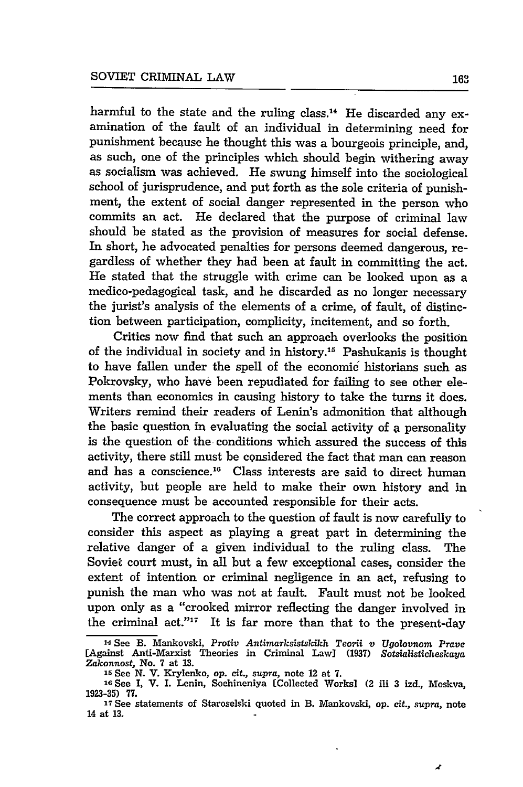harmful to the state and the ruling class.<sup>14</sup> He discarded any examination of the fault of an individual in determining need for punishment because he thought this was a bourgeois principle, and, as such, one of the principles which should begin withering away as socialism was achieved. He swung himself into the sociological school of jurisprudence, and put forth as the sole criteria of punishment, the extent of social danger represented in the person who commits an act. He declared that the purpose of criminal law should be stated as the provision of measures for social defense. In short, he advocated penalties for persons deemed dangerous, regardless of whether they had been at fault in committing the act. He stated that the struggle with crime can be looked upon as a medico-pedagogical task, and he discarded as no longer necessary the jurist's analysis of the elements of a crime, of fault, of distinction between participation, complicity, incitement, and so forth.

Critics now find that such an approach overlooks the position of the individual in society and in history.15 Pashukanis is thought to have fallen under the spell of the economic historians such as Pokrovsky, who have been repudiated for failing to see other elements than economics in causing history to take the turns it does. Writers remind their readers of Lenin's admonition that although the basic question in evaluating the social activity of **a** personality is the question of the conditions which assured the success of this activity, there still must be considered the fact that man can reason and has a conscience.<sup>16</sup> Class interests are said to direct human activity, but people are held to make their own history and in consequence must be accounted responsible for their acts.

The correct approach to the question of fault is now carefully to consider this aspect as playing a great part in determining the relative danger of a given individual to the ruling class. The Soviet court must, in all but a few exceptional cases, consider the extent of intention or criminal negligence in an act, refusing to punish the man who was not at fault. Fault must not be looked upon only as a "crooked mirror reflecting the danger involved in the criminal act." $17$  It is far more than that to the present-day

À

**<sup>14</sup>**See B. Mankovski, *Protiv Antimarksistskikh Teorii v Ugolovnom Prave* [Against Anti-Marxist Theories in Criminal Law] (1937) Sotsialisticheskaya *Zakonnost,* No. **7** at **13.**

**<sup>15</sup>**See N. V. Krylenko, op. cit., *supra,* note 12 at **7.**

**<sup>16</sup>**See I, V. I. Lenin, Sochineniya [Collected Works] (2 ili 3 izd., Moskva, **1923-35) 77.**

<sup>17</sup> See statements of Staroseiski quoted in B. Mankovski, op. *cit., supra,* note 14 at **13.**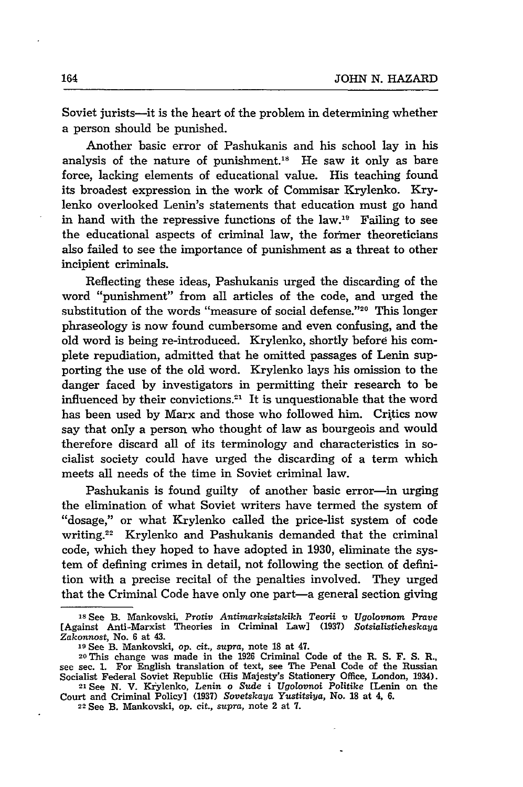Soviet jurists—it is the heart of the problem in determining whether a person should be punished.

Another basic error of Pashukanis and his school lay in his analysis of the nature of punishment.<sup>18</sup> He saw it only as bare force, lacking elements of educational value. His teaching found its broadest expression in the work of Commisar Krylenko. Krylenko overlooked Lenin's statements that education must go hand in hand with the repressive functions of the law.19 Failing to see the educational aspects of criminal law, the foriner theoreticians also failed to see the importance of punishment as a threat to other incipient criminals.

Reflecting these ideas, Pashukanis urged the discarding of the word "punishment" from all articles of the code, and urged the substitution of the words "measure of social defense."<sup>20</sup> This longer phraseology is now found cumbersome and even confusing, and the old word is being re-introduced. Krylenko, shortly before his complete repudiation, admitted that he omitted passages of Lenin supporting the use of the old word. Krylenko lays his omission to the danger faced by investigators in permitting their research to be influenced by their convictions.<sup>21</sup> It is unquestionable that the word has been used by Marx and those who followed him. Critics now say that only a person who thought of law as bourgeois and would therefore discard all of its terminology and characteristics in socialist society could have urged the discarding of a term which meets all needs of the time in Soviet criminal law.

Pashukanis is found guilty of another basic error-in urging the elimination of what Soviet writers have termed the system of "dosage," or what Krylenko called the price-list system of code writing.<sup>22</sup> Krylenko and Pashukanis demanded that the criminal code, which they hoped to have adopted in 1930, eliminate the system of defining crimes in detail, not following the section of definition with a precise recital of the penalties involved. They urged that the Criminal Code have only one part—a general section giving

**<sup>18</sup>**See B. Mankovski, *Protiv Antimarksistskikh Teorii v Ugolovnom Prave* [Against Anti-Marxist Theories in Criminal Law] **(1937)** *Sotsialisticheskaya* Zakonnost, No. **6** at 43.

**<sup>19</sup>**See B. Mankovski, *op.* cit., supra, note **18** at 47.

**<sup>20</sup>**This change was made in the 1926 Criminal Code of the R. S. F. S. R., see sec. 1. For English translation of text, see The Penal Code of the Russian Socialist Federal Soviet Republic (His Majesty's Stationery Office, London, 1934). 21 See N. V. Kiylenko, Lenin o Sude i Ugolovnoi Politike [Lenin on the

Court and Criminal Policy] (1937) Sovetskaya *Yustitsiya,* No. **18** at 4, **6.**

**<sup>22</sup>** See B. Mankovski, op. cit., *supra,* note 2 at 7.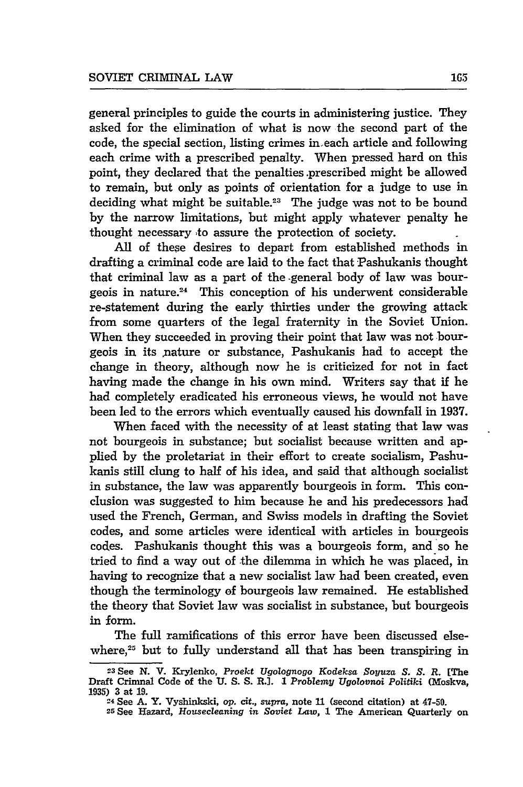general principles to guide the courts in administering justice. They asked for the elimination of what is now the second part of the code, the special section, listing crimes in.each article and following each crime with a prescribed penalty. When pressed hard on this point, they declared that the penalties .prescribed might be allowed to remain, but only as points of orientation for a judge to use in deciding what might be suitable.<sup>23</sup> The judge was not to be bound **by** the narrow limitations, but might apply whatever penalty he thought necessary 1to assure the protection of society.

**All** of these desires to depart from established methods in drafting a criminal code are laid to the fact that Pashukanis thought that criminal law as a part of the -general body of law was bourgeois in nature.<sup>24</sup> This conception of his underwent considerable re-statement during the early thirties under the growing attack from some quarters of the legal fraternity in the Soviet Union. When they succeeded in proving their point that law was not bourgeois in its nature or substance, Pashukanis had to accept the change in theory, although now he is criticized for not in fact having made the change in his own mind. Writers say that if he had completely eradicated his erroneous views, he would not have been led to the errors which eventually caused his downfall in **1937.**

When faced with the necessity of at least stating that law was not bourgeois in substance; but socialist because written and applied **by** the proletariat in their effort to create socialism, Pashukanis still clung to half of his idea, and said that although socialist in substance, the law was apparently bourgeois in form. This conclusion was suggested to him because he and his predecessors had used the French, German, and Swiss models in drafting the Soviet codes, and some articles were identical with articles in bourgeois codes. Pashukanis thought this was a bourgeois form, and so he tried to find a way out of the dilemma in which he was placed, in having to recognize that a new socialist law had been created, even though the terminology of bourgeois law remained. He established the theory that Soviet law was socialist in substance, but bourgeois in form.

The full ramifications of this error have been discussed elsewhere,<sup>25</sup> but to fully understand all that has been transpiring in

**<sup>23</sup>**See **N.** V. Krylenko, *Proekt Ugolognogo Kodeksa Soyuza S. S. R.* [The Draft Crimnal Code of the **U. S. S.** R.I. **I** *Problemy Ugolovnoi Politiki* (Moskva, 1935) **3** at 19.

<sup>24</sup> See A. Y. Vyshinkski, op. cit., supra, note **11** (second citation) at 47-50.

**<sup>25</sup>** See Hazard, *Housecleaning in* Soviet Law, **1** The American Quarterly on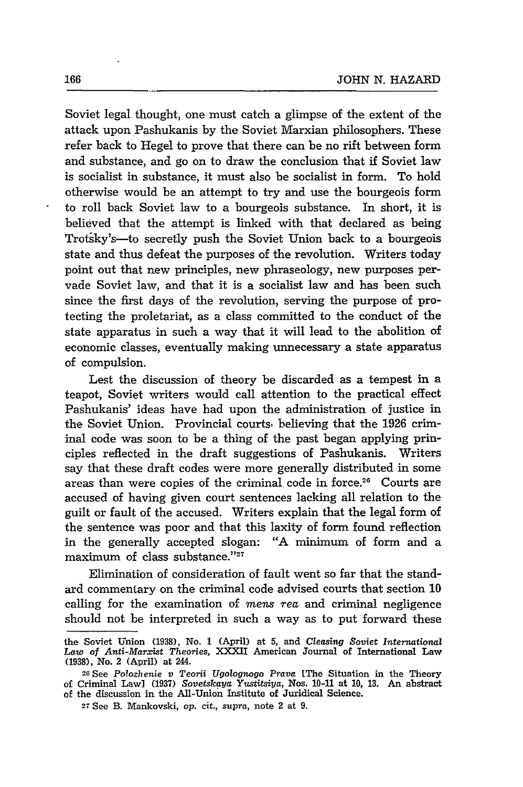Soviet legal thought, one must catch a glimpse of the extent of the attack upon Pashukanis by the Soviet Marxian philosophers. These refer back to Hegel to prove that there can be no rift between form and substance, and go on to draw the conclusion that **if** Soviet law is socialist in substance, it must also be socialist in form. To hold otherwise would be an attempt to try and use the bourgeois form to roll back Soviet law to a bourgeois substance. In short, it is believed that the attempt is linked with that declared as being Trotsky's-to secretly push the Soviet Union back to a bourgeois state and thus defeat the purposes of the revolution. Writers today point out that new principles, new phraseology, new purposes pervade Soviet law, and that it is a socialist law and has been such since the first days of the revolution, serving the purpose of protecting the proletariat, as a class committed to the conduct of the state apparatus in such a way that it will lead to the abolition of economic classes, eventually making unnecessary a state apparatus of compulsion.

Lest the discussion of theory be discarded as a tempest in a teapot, Soviet writers would call attention to the practical effect Pashukanis' ideas have had upon the administration of justice in the Soviet Union. Provincial courts, believing that the 1926 criminal code was soon to be a thing of the past began applying principles reflected in the draft suggestions of Pashukanis. Writers say that these draft codes were more generally distributed in some areas than were copies of the criminal code in force.<sup>26</sup> Courts are accused of having given court sentences lacking all relation to the guilt or fault of the accused. Writers explain that the legal form of the sentence was poor and that this laxity of form found reflection in the generally accepted slogan: "A minimum of form and a maximum of class substance."27

Elimination of consideration of fault went so far that the standard commentary on the criminal code advised courts that section **10** calling for the examination of *mens rea* and criminal negligence should not be interpreted in such a way as to put forward these

the Soviet Union **(1938),** No. **1** (April) at 5, and *Cleasing Soviet International Law* of *Anti-Marxist* Theories, XXXII American Journal of International Law (1938), No. 2 (April) at 244.

**<sup>26</sup>**See Po!ozhenie *v* Teorii *Ugolognogo Prava* [The Situation in the Theory of Criminal Law] (1937) *Sovetskaya* Yustitsiya, Nos. **10-11** at **10,** 13. An abstract of the discussion in the All-Union Institute of Juridical Science.

**<sup>27</sup>** See B. Mankovski, op. cit., *supra,* note 2 at 9.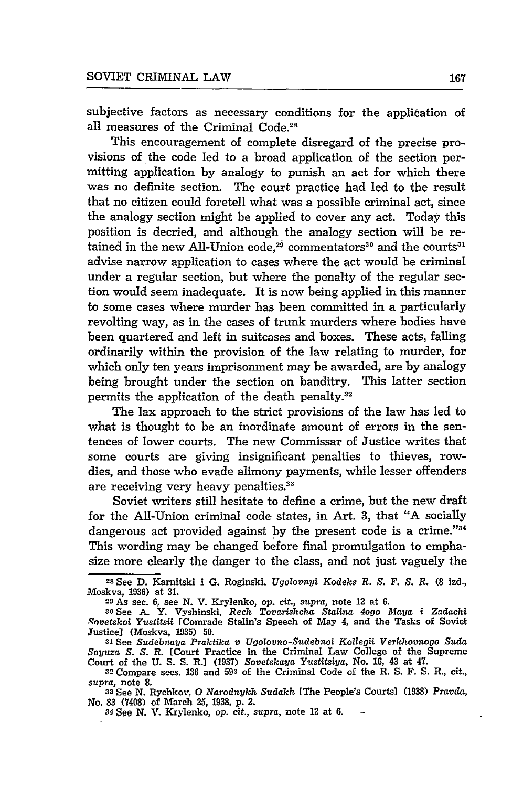subjective factors as necessary conditions for the application of all measures of the Criminal Code.<sup>2</sup>

This encouragement of complete disregard of the precise provisions of the code led to a broad application of the section permitting application by analogy to punish an act for which there was no definite section. The court practice had led to the result that no citizen could foretell what was a possible criminal act, since the analogy section might be applied to cover any act. Today this position is decried, and although the analogy section will be retained in the new All-Union code,<sup>29</sup> commentators<sup>30</sup> and the courts<sup>31</sup> advise narrow application to cases where the act would be criminal under a regular section, but where the penalty of the regular section would seem inadequate. It is now being applied in this manner to some cases where murder has been committed in a particularly revolting way, as in the cases of trunk murders where bodies have been quartered and left in suitcases and boxes. These acts, falling ordinarily within the provision of the law relating to murder, for which only ten years imprisonment may be awarded, are by analogy being brought under the section on banditry. This latter section permits the application of the death penalty.<sup>32</sup>

The lax approach to the strict provisions of the law has led to what is thought to be an inordinate amount of errors in the sentences of lower courts. The new Commissar of Justice writes that some courts are giving insignificant penalties to thieves, rowdies, and those who evade alimony payments, while lesser offenders are receiving very heavy penalties.<sup>33</sup>

Soviet writers still hesitate to define a crime, but the new draft for the All-Union criminal code states, in Art. 3, that "A socially dangerous act provided against by the present code is a crime."<sup>34</sup> This wording may be changed before final promulgation to emphasize more clearly the danger to the class, and not just vaguely the

34 *See* **N.** V. Krylenko, *op.* cit., *supra,* note 12 at 6. **-**

**<sup>28</sup>**See D. Karnitski i **G.** Roginski, *Ugolovnyi Kodeks R. S. F. S. R.* (8 izd., Moskva, 1936) at 31.

**<sup>29</sup>**As sec. 6, see N. V. Krylenko, *op.* cit., *supra,* note 12 at 6.

<sup>30</sup>See A. Y. Vyshinski, *Rech Tovarishcha* Stalina *4ogo Maya* i Zadachi • *nvetskoi Yustitsii* [Comrade Stalin's Speech of May 4, and the Tasks of Soviet Justice] (Moskva, 1935) **50.**

**<sup>31</sup>**See *Sudebnaya Praktika v Ugolovno-Sudebnoi Kollegii Verkhovnogo Suda Soyuza S. S. R.* [Court Practice in the Criminal Law College of the Supreme Court of the **U. S. S.** R.] **(1937)** *Sovetskaya Yustitsiya,* No. **16,** 43 at 47.

**<sup>32</sup>**Compare secs. 136 and 593 of the Criminal Code of the R. **S.** F. S. R., *cit.,* supra, note 8.

<sup>3</sup>See **N.** Rychkov, *0 Narodnykh Sudakh* [The People's Courts] (1938) *Pravda,* No. **83 (7408)** of March 25, **1938, p.** 2.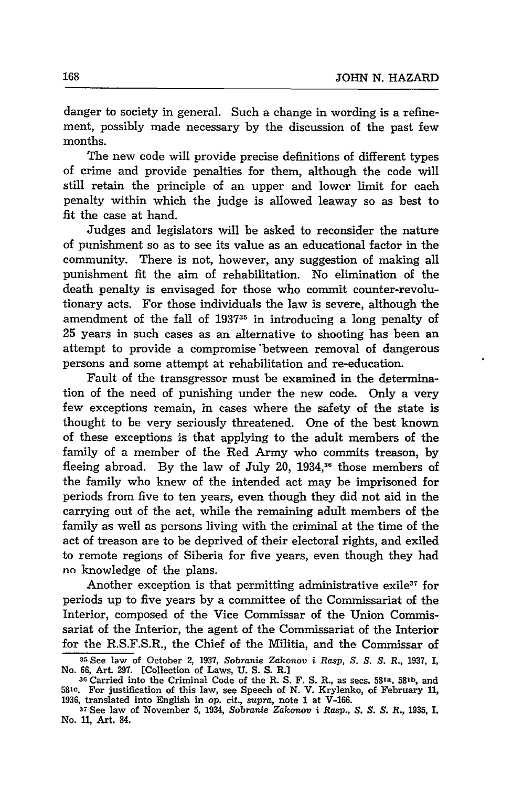danger to society in general. Such a change in wording is a refinement, possibly made necessary **by** the discussion of the past few months.

The new code will provide precise definitions of different types of crime and provide penalties for them, although the code will still retain the principle of an upper and lower limit for each penalty within which the judge is allowed leaway so as best to fit the case at hand.

Judges and legislators will be asked to reconsider the nature of punishment so as to see its value as an educational factor in the community. There is not, however, any suggestion of making all punishment fit the aim of rehabilitation. No elimination of the death penalty is envisaged for those who commit counter-revolutionary acts. For those individuals the law is severe, although the amendment of the fall of 1937<sup>35</sup> in introducing a long penalty of 25 years in such cases as an alternative to shooting has been an attempt to provide a compromise "between removal of dangerous persons and some attempt at rehabilitation and re-education.

Fault of the transgressor must be examined in the determination of the need of punishing under the new code. Only a very few exceptions remain, in cases where the safety of the state is thought to be very seriously threatened. One of the best known of these exceptions is that applying to the adult members of the family of a member of the Red Army who commits treason, by fleeing abroad. By the law of July 20, 1934,<sup>36</sup> those members of the family who knew of the intended act may be imprisoned for periods from five to ten years, even though they did not aid in the carrying out of the act, while the remaining adult members of the family as well as persons living with the criminal at the time of the act of treason are to be deprived of their electoral rights, and exiled to remote regions of Siberia for five years, even though they had no knowledge of the plans.

Another exception is that permitting administrative exile<sup>37</sup> for periods up to five years by a committee of the Commissariat of the Interior, composed of the Vice Commissar of the Union Commissariat of the Interior, the agent of the Commissariat of the Interior for the R.S.F.S.R., the Chief of the Militia, and the Commissar of

**<sup>3</sup>**See law of October 2, 1937, *Sobranie Zakonov* i Rasp, *S. S. S. R.,* 1937, **I,** No. 66, Art. 297. [Collection of Laws, **U.** S. S. R.1

**<sup>36</sup>**Carried into the Criminal Code of the R. S. F. S. R., as secs. 581a. **581b,** and **581c.** For justification of this law, see Speech of **N.** V. Krylenko, of February 11, 1936, translated into English in *op.* cit., supra, note **1** at V-166. **<sup>37</sup>**See law of November 5, 1934, *Sobranie Zakonov* i *Rasp., S. S. S. R.,* **1935,** I,

No. 11, Art. 84.